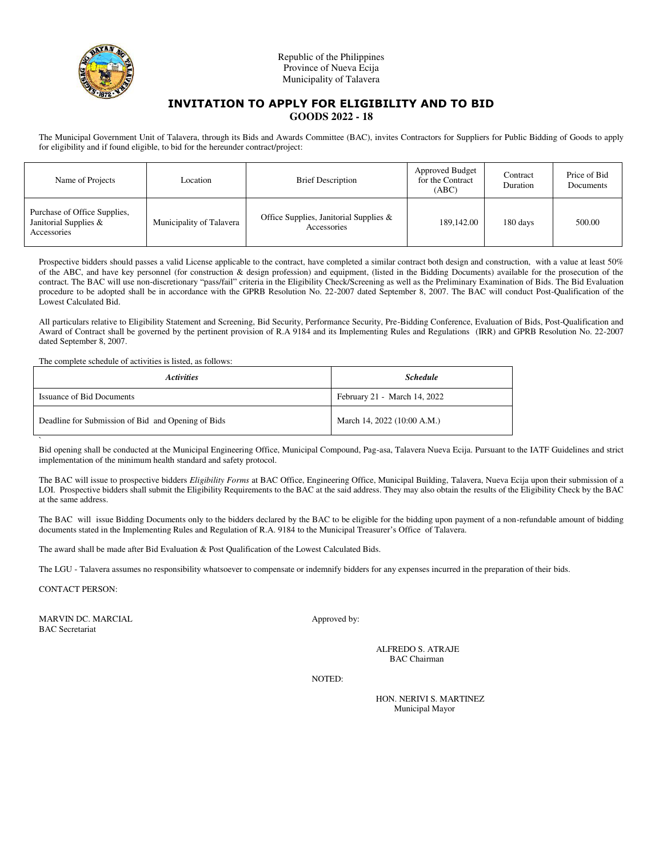

Republic of the Philippines Province of Nueva Ecija Municipality of Talavera

## **INVITATION TO APPLY FOR ELIGIBILITY AND TO BID GOODS 2022 - 18**

The Municipal Government Unit of Talavera, through its Bids and Awards Committee (BAC), invites Contractors for Suppliers for Public Bidding of Goods to apply for eligibility and if found eligible, to bid for the hereunder contract/project:

| Name of Projects                                                     | Location                 | <b>Brief Description</b>                              | Approved Budget<br>for the Contract<br>(ABC) | Contract<br>Duration | Price of Bid<br>Documents |
|----------------------------------------------------------------------|--------------------------|-------------------------------------------------------|----------------------------------------------|----------------------|---------------------------|
| Purchase of Office Supplies,<br>Janitorial Supplies &<br>Accessories | Municipality of Talavera | Office Supplies, Janitorial Supplies &<br>Accessories | 189,142.00                                   | 180 days             | 500.00                    |

Prospective bidders should passes a valid License applicable to the contract, have completed a similar contract both design and construction, with a value at least 50% of the ABC, and have key personnel (for construction & design profession) and equipment, (listed in the Bidding Documents) available for the prosecution of the contract. The BAC will use non-discretionary "pass/fail" criteria in the Eligibility Check/Screening as well as the Preliminary Examination of Bids. The Bid Evaluation procedure to be adopted shall be in accordance with the GPRB Resolution No. 22-2007 dated September 8, 2007. The BAC will conduct Post-Qualification of the Lowest Calculated Bid.

All particulars relative to Eligibility Statement and Screening, Bid Security, Performance Security, Pre-Bidding Conference, Evaluation of Bids, Post-Qualification and Award of Contract shall be governed by the pertinent provision of R.A 9184 and its Implementing Rules and Regulations (IRR) and GPRB Resolution No. 22-2007 dated September 8, 2007.

The complete schedule of activities is listed, as follows:

| <b>Activities</b>                                  | <b>Schedule</b>              |
|----------------------------------------------------|------------------------------|
| <b>Issuance of Bid Documents</b>                   | February 21 - March 14, 2022 |
| Deadline for Submission of Bid and Opening of Bids | March 14, 2022 (10:00 A.M.)  |

` Bid opening shall be conducted at the Municipal Engineering Office, Municipal Compound, Pag-asa, Talavera Nueva Ecija. Pursuant to the IATF Guidelines and strict implementation of the minimum health standard and safety protocol.

The BAC will issue to prospective bidders *Eligibility Forms* at BAC Office, Engineering Office, Municipal Building, Talavera, Nueva Ecija upon their submission of a LOI. Prospective bidders shall submit the Eligibility Requirements to the BAC at the said address. They may also obtain the results of the Eligibility Check by the BAC at the same address.

The BAC will issue Bidding Documents only to the bidders declared by the BAC to be eligible for the bidding upon payment of a non-refundable amount of bidding documents stated in the Implementing Rules and Regulation of R.A. 9184 to the Municipal Treasurer's Office of Talavera.

The award shall be made after Bid Evaluation & Post Qualification of the Lowest Calculated Bids.

The LGU - Talavera assumes no responsibility whatsoever to compensate or indemnify bidders for any expenses incurred in the preparation of their bids.

CONTACT PERSON:

MARVIN DC. MARCIAL Approved by: BAC Secretariat

ALFREDO S. ATRAJE BAC Chairman

NOTED:

HON. NERIVI S. MARTINEZ Municipal Mayor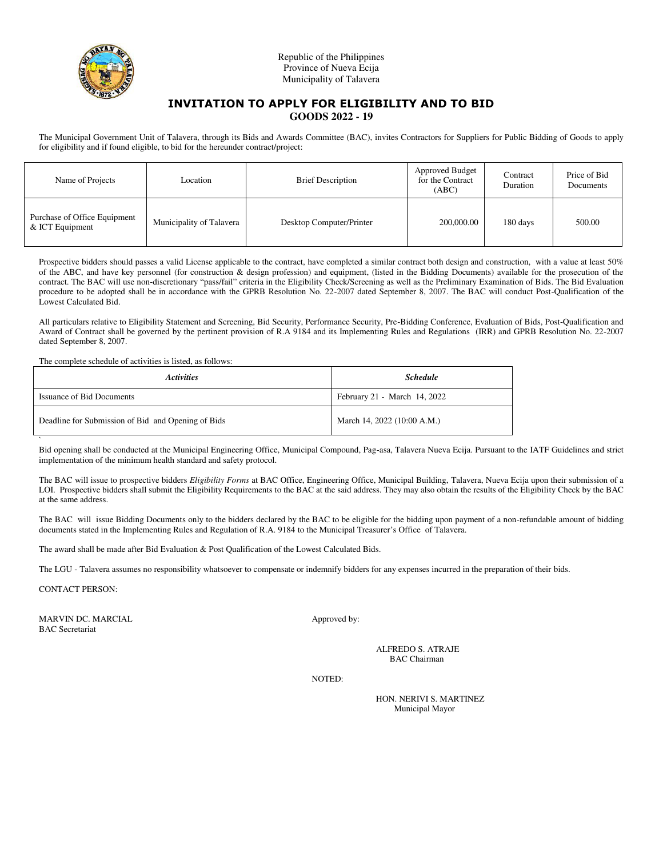

Republic of the Philippines Province of Nueva Ecija Municipality of Talavera

## **INVITATION TO APPLY FOR ELIGIBILITY AND TO BID GOODS 2022 - 19**

The Municipal Government Unit of Talavera, through its Bids and Awards Committee (BAC), invites Contractors for Suppliers for Public Bidding of Goods to apply for eligibility and if found eligible, to bid for the hereunder contract/project:

| Name of Projects                                | Location                 | <b>Brief Description</b> | <b>Approved Budget</b><br>for the Contract<br>(ABC) | Contract<br>Duration | Price of Bid<br>Documents |
|-------------------------------------------------|--------------------------|--------------------------|-----------------------------------------------------|----------------------|---------------------------|
| Purchase of Office Equipment<br>& ICT Equipment | Municipality of Talavera | Desktop Computer/Printer | 200,000.00                                          | 180 days             | 500.00                    |

Prospective bidders should passes a valid License applicable to the contract, have completed a similar contract both design and construction, with a value at least 50% of the ABC, and have key personnel (for construction & design profession) and equipment, (listed in the Bidding Documents) available for the prosecution of the contract. The BAC will use non-discretionary "pass/fail" criteria in the Eligibility Check/Screening as well as the Preliminary Examination of Bids. The Bid Evaluation procedure to be adopted shall be in accordance with the GPRB Resolution No. 22-2007 dated September 8, 2007. The BAC will conduct Post-Qualification of the Lowest Calculated Bid.

All particulars relative to Eligibility Statement and Screening, Bid Security, Performance Security, Pre-Bidding Conference, Evaluation of Bids, Post-Qualification and Award of Contract shall be governed by the pertinent provision of R.A 9184 and its Implementing Rules and Regulations (IRR) and GPRB Resolution No. 22-2007 dated September 8, 2007.

The complete schedule of activities is listed, as follows:

| <b>Activities</b>                                  | <b>Schedule</b>              |
|----------------------------------------------------|------------------------------|
| <b>Issuance of Bid Documents</b>                   | February 21 - March 14, 2022 |
| Deadline for Submission of Bid and Opening of Bids | March 14, 2022 (10:00 A.M.)  |

` Bid opening shall be conducted at the Municipal Engineering Office, Municipal Compound, Pag-asa, Talavera Nueva Ecija. Pursuant to the IATF Guidelines and strict implementation of the minimum health standard and safety protocol.

The BAC will issue to prospective bidders *Eligibility Forms* at BAC Office, Engineering Office, Municipal Building, Talavera, Nueva Ecija upon their submission of a LOI. Prospective bidders shall submit the Eligibility Requirements to the BAC at the said address. They may also obtain the results of the Eligibility Check by the BAC at the same address.

The BAC will issue Bidding Documents only to the bidders declared by the BAC to be eligible for the bidding upon payment of a non-refundable amount of bidding documents stated in the Implementing Rules and Regulation of R.A. 9184 to the Municipal Treasurer's Office of Talavera.

The award shall be made after Bid Evaluation & Post Qualification of the Lowest Calculated Bids.

The LGU - Talavera assumes no responsibility whatsoever to compensate or indemnify bidders for any expenses incurred in the preparation of their bids.

CONTACT PERSON:

MARVIN DC. MARCIAL Approved by: BAC Secretariat

ALFREDO S. ATRAJE BAC Chairman

NOTED:

HON. NERIVI S. MARTINEZ Municipal Mayor